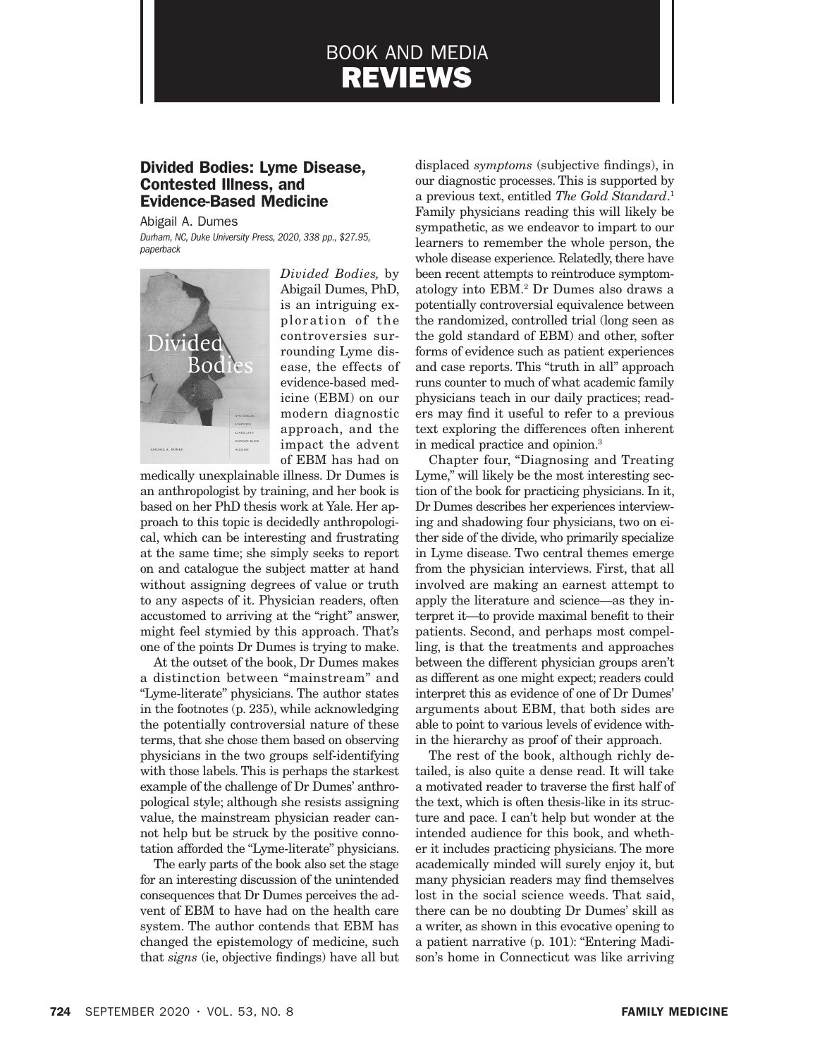# BOOK AND MEDIA REVIEWS

# Divided Bodies: Lyme Disease, Contested Illness, and Evidence-Based Medicine

Abigail A. Dumes *Durham, NC, Duke University Press, 2020, 338 pp., \$27.95, paperback*



*Divided Bodies,* by Abigail Dumes, PhD, is an intriguing exploration of the controversies surrounding Lyme disease, the effects of evidence-based medicine (EBM) on our modern diagnostic approach, and the impact the advent of EBM has had on

medically unexplainable illness. Dr Dumes is an anthropologist by training, and her book is based on her PhD thesis work at Yale. Her approach to this topic is decidedly anthropological, which can be interesting and frustrating at the same time; she simply seeks to report on and catalogue the subject matter at hand without assigning degrees of value or truth to any aspects of it. Physician readers, often accustomed to arriving at the "right" answer, might feel stymied by this approach. That's one of the points Dr Dumes is trying to make.

At the outset of the book, Dr Dumes makes a distinction between "mainstream" and "Lyme-literate" physicians. The author states in the footnotes (p. 235), while acknowledging the potentially controversial nature of these terms, that she chose them based on observing physicians in the two groups self-identifying with those labels. This is perhaps the starkest example of the challenge of Dr Dumes' anthropological style; although she resists assigning value, the mainstream physician reader cannot help but be struck by the positive connotation afforded the "Lyme-literate" physicians.

The early parts of the book also set the stage for an interesting discussion of the unintended consequences that Dr Dumes perceives the advent of EBM to have had on the health care system. The author contends that EBM has changed the epistemology of medicine, such that *signs* (ie, objective findings) have all but

displaced *symptoms* (subjective findings), in our diagnostic processes. This is supported by a previous text, entitled *The Gold Standard*. 1 Family physicians reading this will likely be sympathetic, as we endeavor to impart to our learners to remember the whole person, the whole disease experience. Relatedly, there have been recent attempts to reintroduce symptomatology into EBM.2 Dr Dumes also draws a potentially controversial equivalence between the randomized, controlled trial (long seen as the gold standard of EBM) and other, softer forms of evidence such as patient experiences and case reports. This "truth in all" approach runs counter to much of what academic family physicians teach in our daily practices; readers may find it useful to refer to a previous text exploring the differences often inherent in medical practice and opinion.3

Chapter four, "Diagnosing and Treating Lyme," will likely be the most interesting section of the book for practicing physicians. In it, Dr Dumes describes her experiences interviewing and shadowing four physicians, two on either side of the divide, who primarily specialize in Lyme disease. Two central themes emerge from the physician interviews. First, that all involved are making an earnest attempt to apply the literature and science—as they interpret it—to provide maximal benefit to their patients. Second, and perhaps most compelling, is that the treatments and approaches between the different physician groups aren't as different as one might expect; readers could interpret this as evidence of one of Dr Dumes' arguments about EBM, that both sides are able to point to various levels of evidence within the hierarchy as proof of their approach.

The rest of the book, although richly detailed, is also quite a dense read. It will take a motivated reader to traverse the first half of the text, which is often thesis-like in its structure and pace. I can't help but wonder at the intended audience for this book, and whether it includes practicing physicians. The more academically minded will surely enjoy it, but many physician readers may find themselves lost in the social science weeds. That said, there can be no doubting Dr Dumes' skill as a writer, as shown in this evocative opening to a patient narrative (p. 101): "Entering Madison's home in Connecticut was like arriving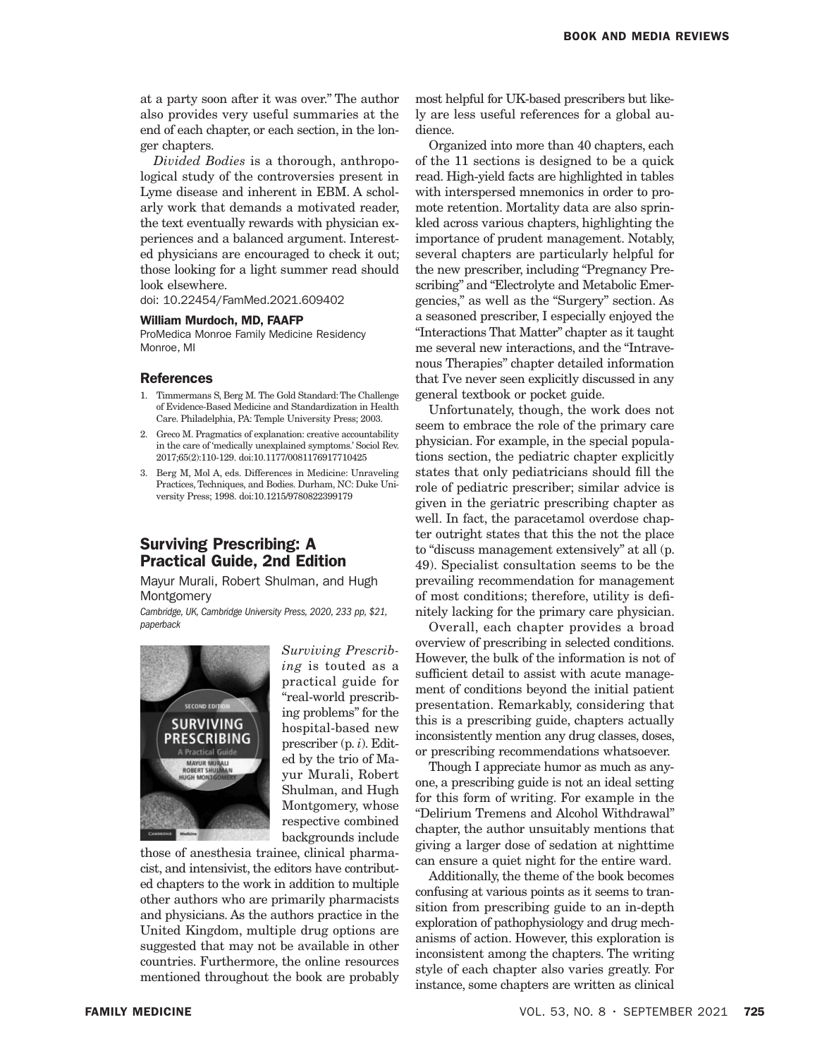at a party soon after it was over." The author also provides very useful summaries at the end of each chapter, or each section, in the longer chapters.

*Divided Bodies* is a thorough, anthropological study of the controversies present in Lyme disease and inherent in EBM. A scholarly work that demands a motivated reader, the text eventually rewards with physician experiences and a balanced argument. Interested physicians are encouraged to check it out; those looking for a light summer read should look elsewhere.

doi: 10.22454/FamMed.2021.609402

## William Murdoch, MD, FAAFP

ProMedica Monroe Family Medicine Residency Monroe, MI

#### References

- 1. Timmermans S, Berg M. The Gold Standard: The Challenge of Evidence-Based Medicine and Standardization in Health Care. Philadelphia, PA: Temple University Press; 2003.
- Greco M. Pragmatics of explanation: creative accountability in the care of 'medically unexplained symptoms.' Sociol Rev. 2017;65(2):110-129. doi:10.1177/0081176917710425
- 3. Berg M, Mol A, eds. Differences in Medicine: Unraveling Practices, Techniques, and Bodies. Durham, NC: Duke University Press; 1998. doi:10.1215/9780822399179

# Surviving Prescribing: A Practical Guide, 2nd Edition

Mayur Murali, Robert Shulman, and Hugh **Montgomery** 

*Cambridge, UK, Cambridge University Press, 2020, 233 pp, \$21, paperback*



*Surviving Prescribing* is touted as a practical guide for "real-world prescribing problems" for the hospital-based new prescriber (p. *i*). Edited by the trio of Mayur Murali, Robert Shulman, and Hugh Montgomery, whose respective combined backgrounds include

those of anesthesia trainee, clinical pharmacist, and intensivist, the editors have contributed chapters to the work in addition to multiple other authors who are primarily pharmacists and physicians. As the authors practice in the United Kingdom, multiple drug options are suggested that may not be available in other countries. Furthermore, the online resources mentioned throughout the book are probably

most helpful for UK-based prescribers but likely are less useful references for a global audience.

Organized into more than 40 chapters, each of the 11 sections is designed to be a quick read. High-yield facts are highlighted in tables with interspersed mnemonics in order to promote retention. Mortality data are also sprinkled across various chapters, highlighting the importance of prudent management. Notably, several chapters are particularly helpful for the new prescriber, including "Pregnancy Prescribing" and "Electrolyte and Metabolic Emergencies," as well as the "Surgery" section. As a seasoned prescriber, I especially enjoyed the "Interactions That Matter" chapter as it taught me several new interactions, and the "Intravenous Therapies" chapter detailed information that I've never seen explicitly discussed in any general textbook or pocket guide.

Unfortunately, though, the work does not seem to embrace the role of the primary care physician. For example, in the special populations section, the pediatric chapter explicitly states that only pediatricians should fill the role of pediatric prescriber; similar advice is given in the geriatric prescribing chapter as well. In fact, the paracetamol overdose chapter outright states that this the not the place to "discuss management extensively" at all (p. 49). Specialist consultation seems to be the prevailing recommendation for management of most conditions; therefore, utility is definitely lacking for the primary care physician.

Overall, each chapter provides a broad overview of prescribing in selected conditions. However, the bulk of the information is not of sufficient detail to assist with acute management of conditions beyond the initial patient presentation. Remarkably, considering that this is a prescribing guide, chapters actually inconsistently mention any drug classes, doses, or prescribing recommendations whatsoever.

Though I appreciate humor as much as anyone, a prescribing guide is not an ideal setting for this form of writing. For example in the "Delirium Tremens and Alcohol Withdrawal" chapter, the author unsuitably mentions that giving a larger dose of sedation at nighttime can ensure a quiet night for the entire ward.

Additionally, the theme of the book becomes confusing at various points as it seems to transition from prescribing guide to an in-depth exploration of pathophysiology and drug mechanisms of action. However, this exploration is inconsistent among the chapters. The writing style of each chapter also varies greatly. For instance, some chapters are written as clinical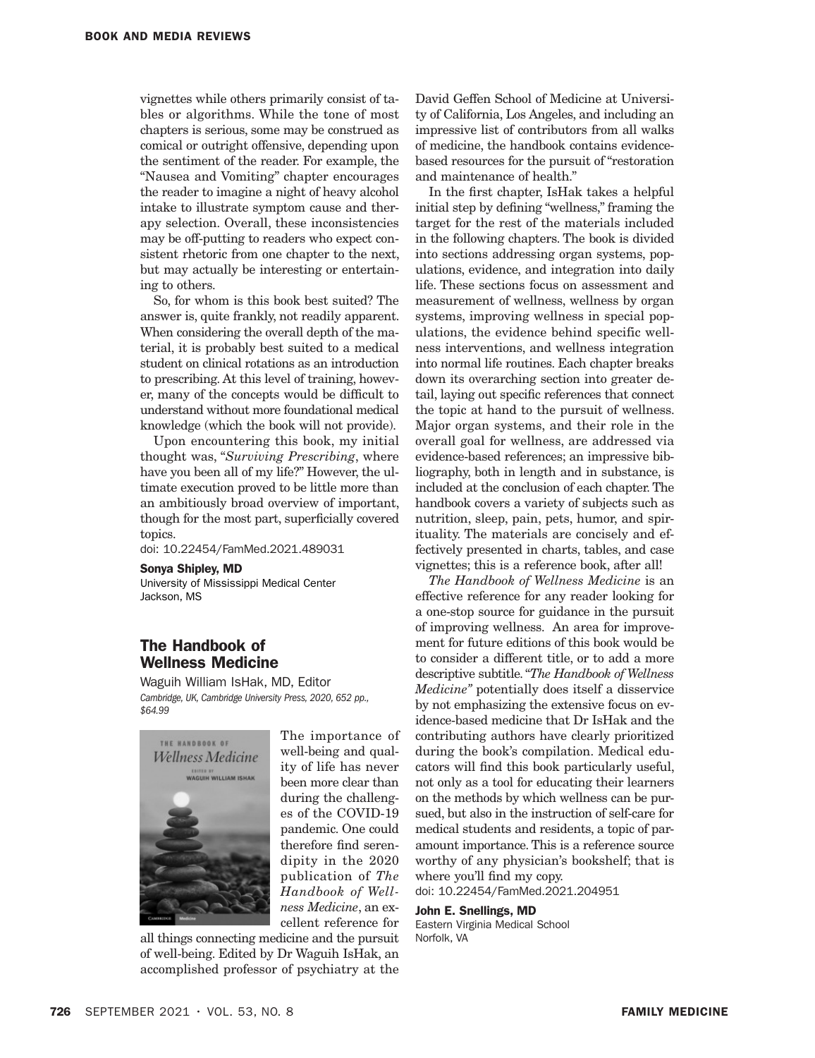vignettes while others primarily consist of tables or algorithms. While the tone of most chapters is serious, some may be construed as comical or outright offensive, depending upon the sentiment of the reader. For example, the "Nausea and Vomiting" chapter encourages the reader to imagine a night of heavy alcohol intake to illustrate symptom cause and therapy selection. Overall, these inconsistencies may be off-putting to readers who expect consistent rhetoric from one chapter to the next, but may actually be interesting or entertaining to others.

So, for whom is this book best suited? The answer is, quite frankly, not readily apparent. When considering the overall depth of the material, it is probably best suited to a medical student on clinical rotations as an introduction to prescribing. At this level of training, however, many of the concepts would be difficult to understand without more foundational medical knowledge (which the book will not provide).

Upon encountering this book, my initial thought was, "*Surviving Prescribing*, where have you been all of my life?" However, the ultimate execution proved to be little more than an ambitiously broad overview of important, though for the most part, superficially covered topics.

doi: 10.22454/FamMed.2021.489031

#### Sonya Shipley, MD

University of Mississippi Medical Center Jackson, MS

## The Handbook of Wellness Medicine

Waguih William IsHak, MD, Editor *Cambridge, UK, Cambridge University Press, 2020, 652 pp., \$64.99*



The importance of well-being and quality of life has never been more clear than during the challenges of the COVID-19 pandemic. One could therefore find serendipity in the 2020 publication of *The Handbook of Wellness Medicine*, an excellent reference for

all things connecting medicine and the pursuit of well-being. Edited by Dr Waguih IsHak, an accomplished professor of psychiatry at the

David Geffen School of Medicine at University of California, Los Angeles, and including an impressive list of contributors from all walks of medicine, the handbook contains evidencebased resources for the pursuit of "restoration and maintenance of health."

In the first chapter, IsHak takes a helpful initial step by defining "wellness," framing the target for the rest of the materials included in the following chapters. The book is divided into sections addressing organ systems, populations, evidence, and integration into daily life. These sections focus on assessment and measurement of wellness, wellness by organ systems, improving wellness in special populations, the evidence behind specific wellness interventions, and wellness integration into normal life routines. Each chapter breaks down its overarching section into greater detail, laying out specific references that connect the topic at hand to the pursuit of wellness. Major organ systems, and their role in the overall goal for wellness, are addressed via evidence-based references; an impressive bibliography, both in length and in substance, is included at the conclusion of each chapter. The handbook covers a variety of subjects such as nutrition, sleep, pain, pets, humor, and spirituality. The materials are concisely and effectively presented in charts, tables, and case vignettes; this is a reference book, after all!

*The Handbook of Wellness Medicine* is an effective reference for any reader looking for a one-stop source for guidance in the pursuit of improving wellness. An area for improvement for future editions of this book would be to consider a different title, or to add a more descriptive subtitle. "*The Handbook of Wellness Medicine"* potentially does itself a disservice by not emphasizing the extensive focus on evidence-based medicine that Dr IsHak and the contributing authors have clearly prioritized during the book's compilation. Medical educators will find this book particularly useful, not only as a tool for educating their learners on the methods by which wellness can be pursued, but also in the instruction of self-care for medical students and residents, a topic of paramount importance. This is a reference source worthy of any physician's bookshelf; that is where you'll find my copy. doi: 10.22454/FamMed.2021.204951

John E. Snellings, MD

Eastern Virginia Medical School Norfolk, VA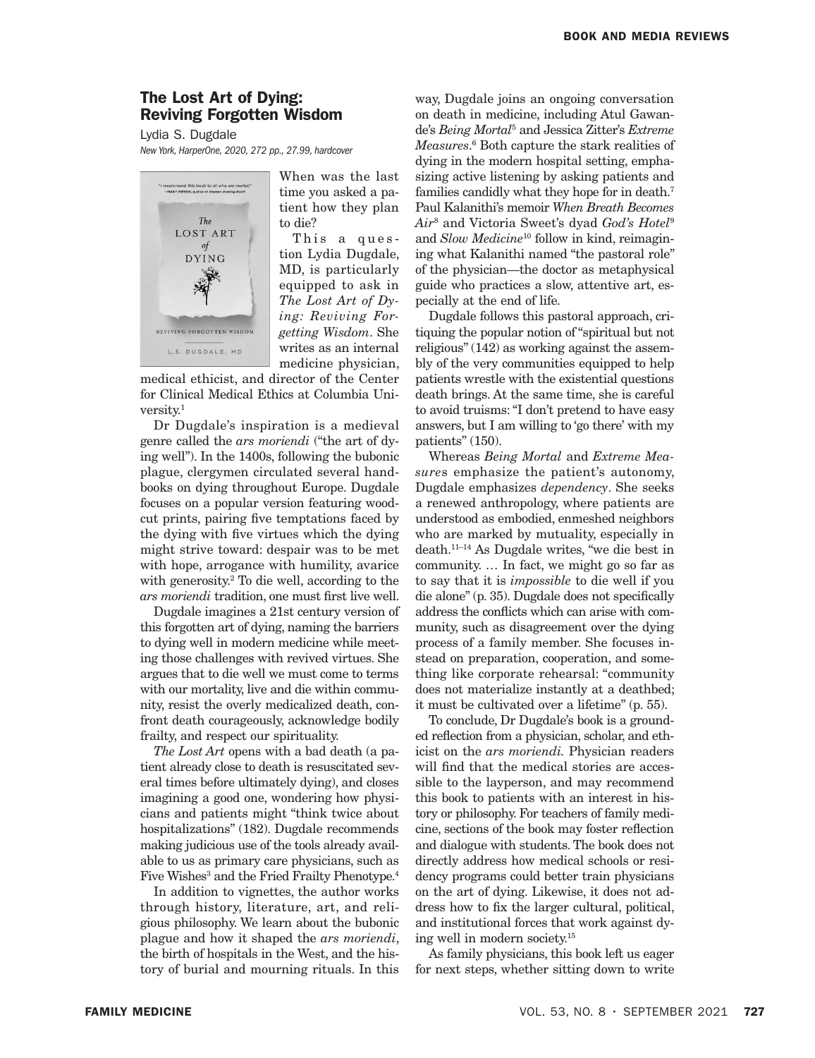# The Lost Art of Dying: Reviving Forgotten Wisdom

Lydia S. Dugdale *New York, HarperOne, 2020, 272 pp., 27.99, hardcover*



When was the last time you asked a patient how they plan to die?

This a ques tion Lydia Dugdale, MD, is particularly equipped to ask in *The Lost Art of Dying: Reviving Forgetting Wisdom*. She writes as an internal medicine physician,

medical ethicist, and director of the Center for Clinical Medical Ethics at Columbia University.1

Dr Dugdale's inspiration is a medieval genre called the *ars moriendi* ("the art of dying well"). In the 1400s, following the bubonic plague, clergymen circulated several handbooks on dying throughout Europe. Dugdale focuses on a popular version featuring woodcut prints, pairing five temptations faced by the dying with five virtues which the dying might strive toward: despair was to be met with hope, arrogance with humility, avarice with generosity.<sup>2</sup> To die well, according to the *ars moriendi* tradition, one must first live well.

Dugdale imagines a 21st century version of this forgotten art of dying, naming the barriers to dying well in modern medicine while meeting those challenges with revived virtues. She argues that to die well we must come to terms with our mortality, live and die within community, resist the overly medicalized death, confront death courageously, acknowledge bodily frailty, and respect our spirituality.

*The Lost Art* opens with a bad death (a patient already close to death is resuscitated several times before ultimately dying), and closes imagining a good one, wondering how physicians and patients might "think twice about hospitalizations" (182). Dugdale recommends making judicious use of the tools already available to us as primary care physicians, such as Five Wishes<sup>3</sup> and the Fried Frailty Phenotype.<sup>4</sup>

In addition to vignettes, the author works through history, literature, art, and religious philosophy. We learn about the bubonic plague and how it shaped the *ars moriendi*, the birth of hospitals in the West, and the history of burial and mourning rituals. In this

way, Dugdale joins an ongoing conversation on death in medicine, including Atul Gawande's *Being Mortal*<sup>5</sup> and Jessica Zitter's *Extreme*  Measures.<sup>6</sup> Both capture the stark realities of dying in the modern hospital setting, emphasizing active listening by asking patients and families candidly what they hope for in death.7 Paul Kalanithi's memoir *When Breath Becomes Air*<sup>8</sup> and Victoria Sweet's dyad *God's Hotel*<sup>9</sup> and *Slow Medicine*10 follow in kind, reimagining what Kalanithi named "the pastoral role" of the physician—the doctor as metaphysical guide who practices a slow, attentive art, especially at the end of life.

Dugdale follows this pastoral approach, critiquing the popular notion of "spiritual but not religious" (142) as working against the assembly of the very communities equipped to help patients wrestle with the existential questions death brings. At the same time, she is careful to avoid truisms: "I don't pretend to have easy answers, but I am willing to 'go there' with my patients" (150).

Whereas *Being Mortal* and *Extreme Measure*s emphasize the patient's autonomy, Dugdale emphasizes *dependency*. She seeks a renewed anthropology, where patients are understood as embodied, enmeshed neighbors who are marked by mutuality, especially in death.11–14 As Dugdale writes, "we die best in community. … In fact, we might go so far as to say that it is *impossible* to die well if you die alone" (p. 35). Dugdale does not specifically address the conflicts which can arise with community, such as disagreement over the dying process of a family member. She focuses instead on preparation, cooperation, and something like corporate rehearsal: "community does not materialize instantly at a deathbed; it must be cultivated over a lifetime" (p. 55).

To conclude, Dr Dugdale's book is a grounded reflection from a physician, scholar, and ethicist on the *ars moriendi.* Physician readers will find that the medical stories are accessible to the layperson, and may recommend this book to patients with an interest in history or philosophy. For teachers of family medicine, sections of the book may foster reflection and dialogue with students. The book does not directly address how medical schools or residency programs could better train physicians on the art of dying. Likewise, it does not address how to fix the larger cultural, political, and institutional forces that work against dying well in modern society.15

As family physicians, this book left us eager for next steps, whether sitting down to write